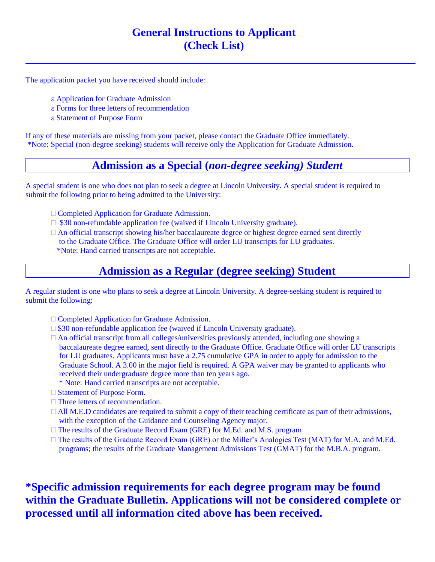# **General Instructions to Applicant (Check List)**

The application packet you have received should include:

- Application for Graduate Admission
- Forms for three letters of recommendation
- Statement of Purpose Form

If any of these materials are missing from your packet, please contact the Graduate Office immediately. \*Note: Special (non-degree seeking) students will receive only the Application for Graduate Admission.

# **Admission as a Special (***non-degree seeking) Student*

A special student is one who does not plan to seek a degree at Lincoln University. A special student is required to submit the following prior to being admitted to the University:

- Completed Application for Graduate Admission.
- $\Box$  \$30 non-refundable application fee (waived if Lincoln University graduate).
- $\Box$  An official transcript showing his/her baccalaureate degree or highest degree earned sent directly to the Graduate Office. The Graduate Office will order LU transcripts for LU graduates. \*Note: Hand carried transcripts are not acceptable.

# **Admission as a Regular (degree seeking) Student**

A regular student is one who plans to seek a degree at Lincoln University. A degree-seeking student is required to submit the following:

- Completed Application for Graduate Admission.
- $\Box$  \$30 non-refundable application fee (waived if Lincoln University graduate).
- $\Box$  An official transcript from all colleges/universities previously attended, including one showing a baccalaureate degree earned, sent directly to the Graduate Office. Graduate Office will order LU transcripts for LU graduates. Applicants must have a 2.75 cumulative GPA in order to apply for admission to the Graduate School. A 3.00 in the major field is required. A GPA waiver may be granted to applicants who received their undergraduate degree more than ten years ago.
	- \* Note: Hand carried transcripts are not acceptable.
- □ Statement of Purpose Form.
- □ Three letters of recommendation.
- All M.E.D candidates are required to submit a copy of their teaching certificate as part of their admissions, with the exception of the Guidance and Counseling Agency major.
- The results of the Graduate Record Exam (GRE) for M.Ed. and M.S. program
- The results of the Graduate Record Exam (GRE) or the Miller's Analogies Test (MAT) for M.A. and M.Ed. programs; the results of the Graduate Management Admissions Test (GMAT) for the M.B.A. program.

**\*Specific admission requirements for each degree program may be found within the Graduate Bulletin. Applications will not be considered complete or processed until all information cited above has been received.**